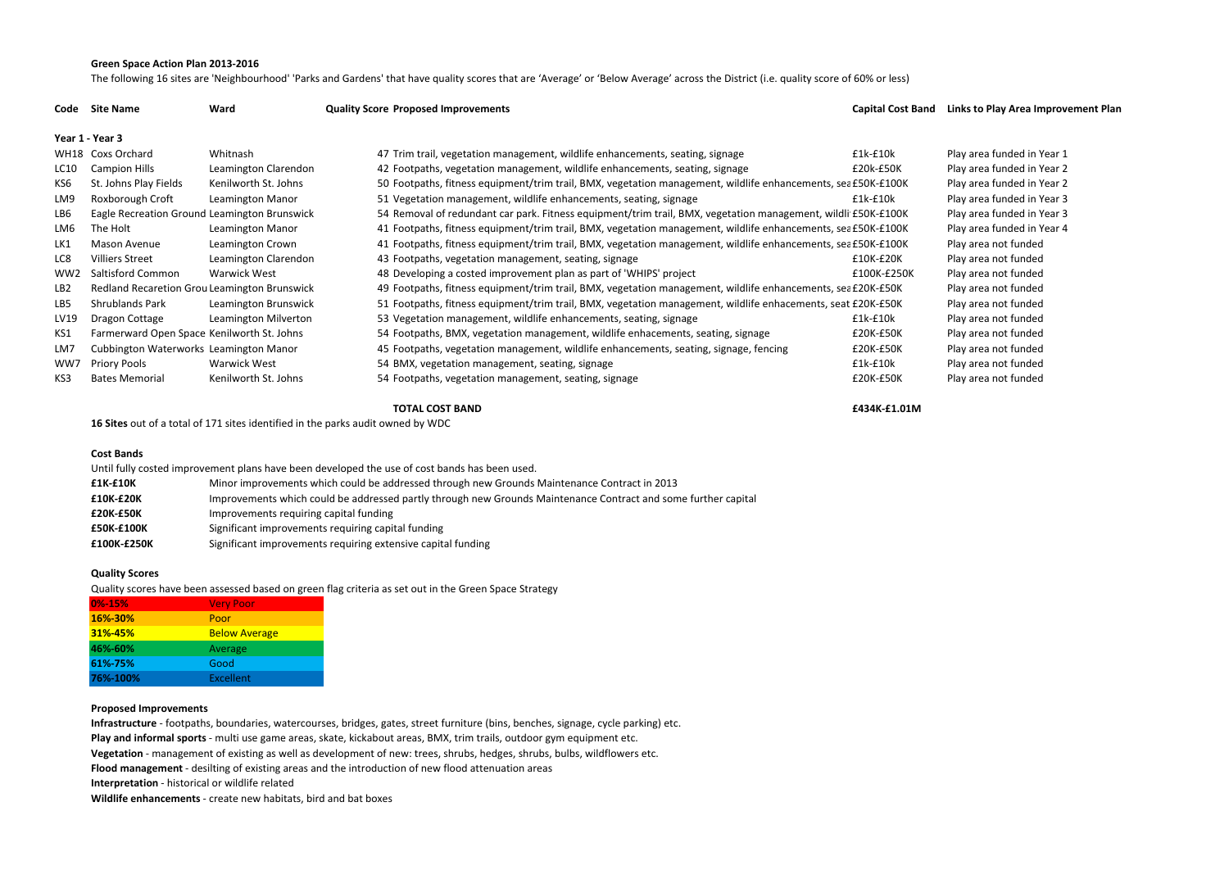### **Green Space Action Plan 2013-2016**

The following 16 sites are 'Neighbourhood' 'Parks and Gardens' that have quality scores that are 'Average' or 'Below Average' across the District (i.e. quality score of 60% or less)

## **Quality Score (%) Proposed Improvements Capital Cost Band Links to Play Area Improvement Plan**

| <b>Links to Play Area Improv</b> |
|----------------------------------|
|                                  |
| Play area funded in Year 1       |
| Play area funded in Year 2       |
| Play area funded in Year 2       |
| Play area funded in Year 3       |
| Play area funded in Year 3       |
| Play area funded in Year 4       |
| Play area not funded             |
| Play area not funded             |
| Play area not funded             |
| Play area not funded             |
| Play area not funded             |
| Play area not funded             |
| Play area not funded             |
| Play area not funded             |
| Play area not funded             |
| Play area not funded             |
|                                  |

#### **TOTAL COST BAND£434K-£1.01M**

**16 Sites** out of a total of 171 sites identified in the parks audit owned by WDC

#### **Cost Bands**

| Until fully costed improvement plans have been developed the use of cost bands has been used. |                                                                                                                |  |  |
|-----------------------------------------------------------------------------------------------|----------------------------------------------------------------------------------------------------------------|--|--|
| £1K-£10K                                                                                      | Minor improvements which could be addressed through new Grounds Maintenance Contract in 2013                   |  |  |
| £10K-£20K                                                                                     | Improvements which could be addressed partly through new Grounds Maintenance Contract and some further capital |  |  |
| £20K-£50K                                                                                     | Improvements requiring capital funding                                                                         |  |  |
| <b>£50K-£100K</b>                                                                             | Significant improvements requiring capital funding                                                             |  |  |
| £100K-£250K                                                                                   | Significant improvements requiring extensive capital funding                                                   |  |  |

### **Quality Scores**

Quality scores have been assessed based on green flag criteria as set out in the Green Space Strategy

| 0%-15%   | <b>Very Poor</b>     |
|----------|----------------------|
| 16%-30%  | Poor                 |
| 31%-45%  | <b>Below Average</b> |
| 46%-60%  | Average              |
| 61%-75%  | Good                 |
| 76%-100% | Excellent            |
|          |                      |

# **Proposed Improvements**

 **Infrastructure** - footpaths, boundaries, watercourses, bridges, gates, street furniture (bins, benches, signage, cycle parking) etc.**Play and informal sports** - multi use game areas, skate, kickabout areas, BMX, trim trails, outdoor gym equipment etc.

**Vegetation** - management of existing as well as development of new: trees, shrubs, hedges, shrubs, bulbs, wildflowers etc.

**Flood management** - desilting of existing areas and the introduction of new flood attenuation areas

**Interpretation** - historical or wildlife related

**Wildlife enhancements** - create new habitats, bird and bat boxes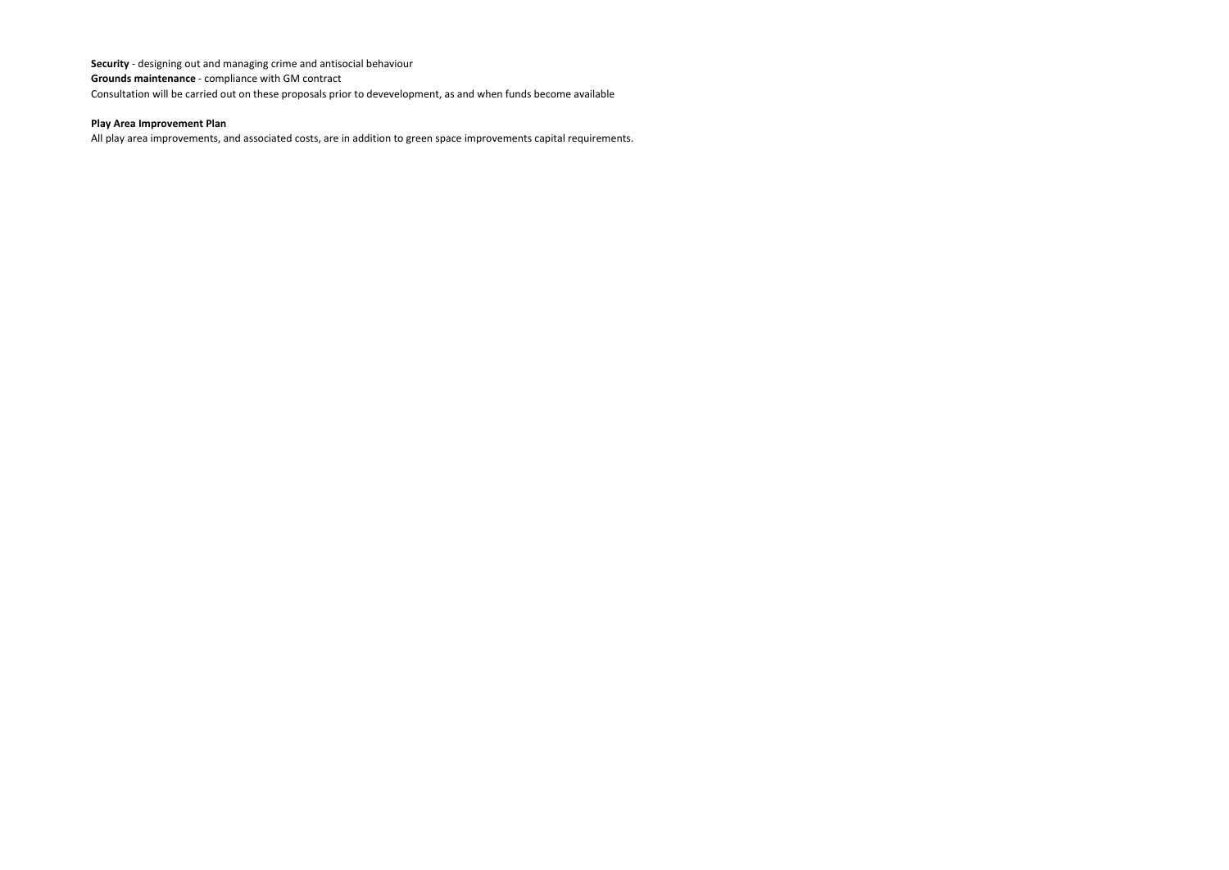**Security** - designing out and managing crime and antisocial behaviour**Grounds maintenance** - compliance with GM contractConsultation will be carried out on these proposals prior to devevelopment, as and when funds become available

# **Play Area Improvement Plan**

All play area improvements, and associated costs, are in addition to green space improvements capital requirements.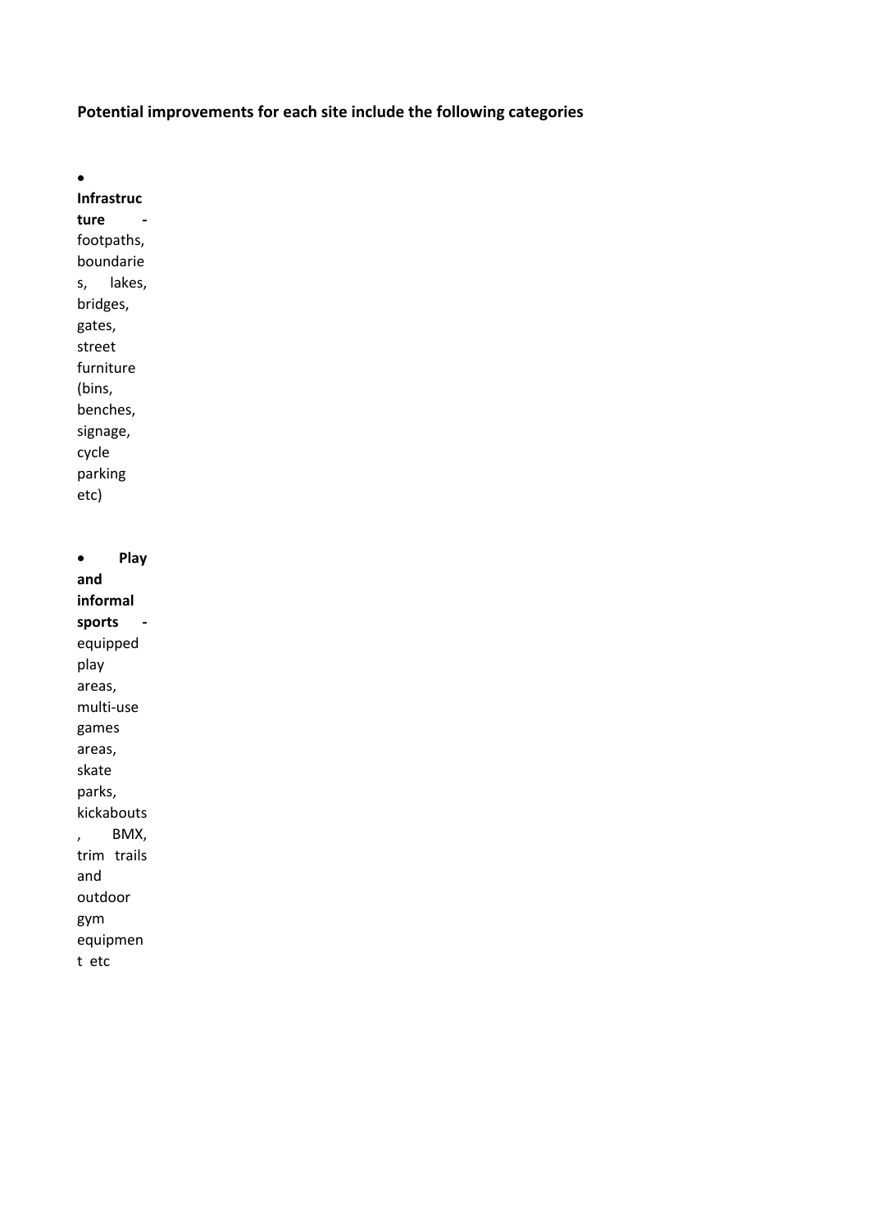# **Potential improvements for each site include the following categories**

•

**Infrastruc ture**  footpaths, boundarie s, lakes, bridges, gates, street furniture (bins, benches, signage, cycle parking etc)

• **Play and informal sports**  equipped play areas, multi-use games areas, skate parks, kickabouts , BMX, trim trails and outdoor gym equipmen t etc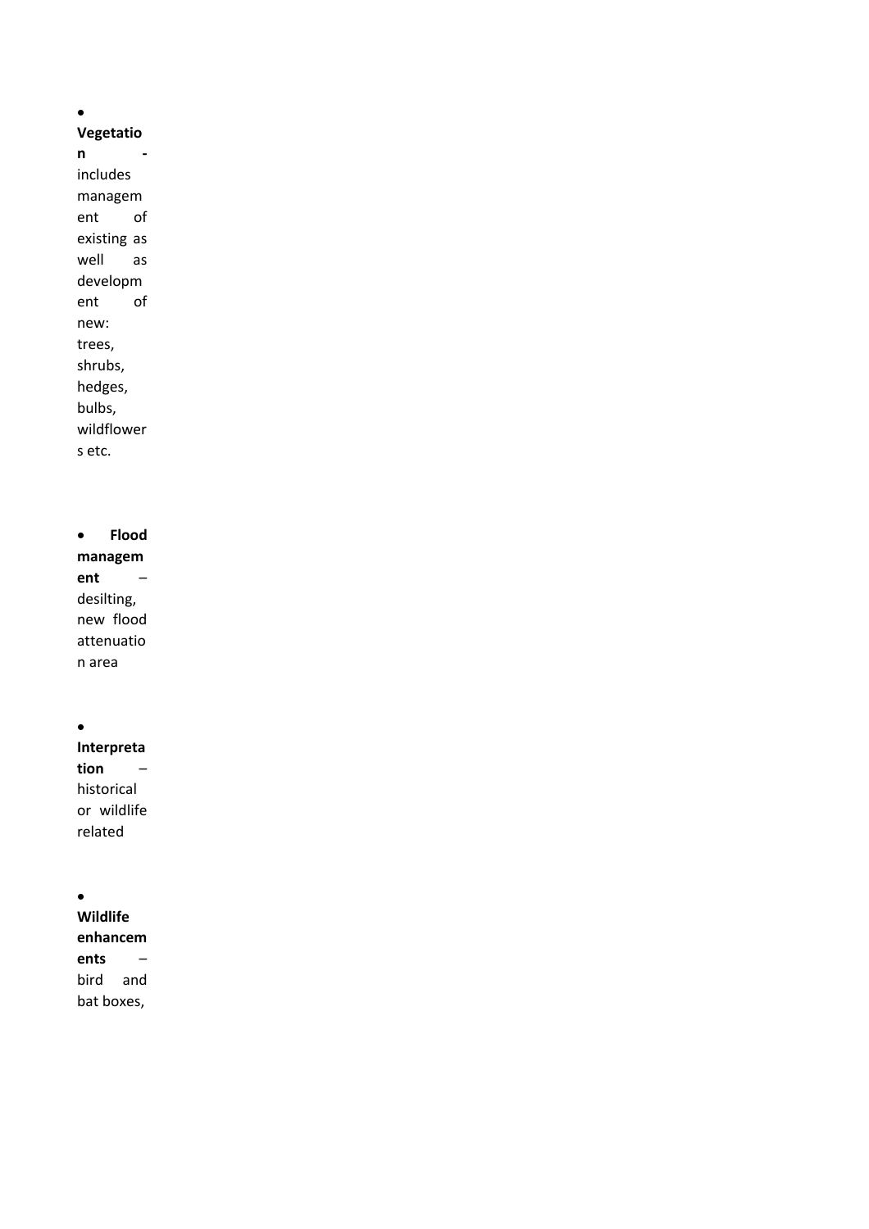•

# **Vegetatio**

**n**  includes managem ent of existing as well as developm ent of new: trees, shrubs, hedges, bulbs, wildflower s etc.

• **Flood managem ent** – desilting, new flood attenuatio n area

•

**Interpreta tion** – historical or wildlife related

•

**Wildlife enhancem ents** – bird and bat boxes,